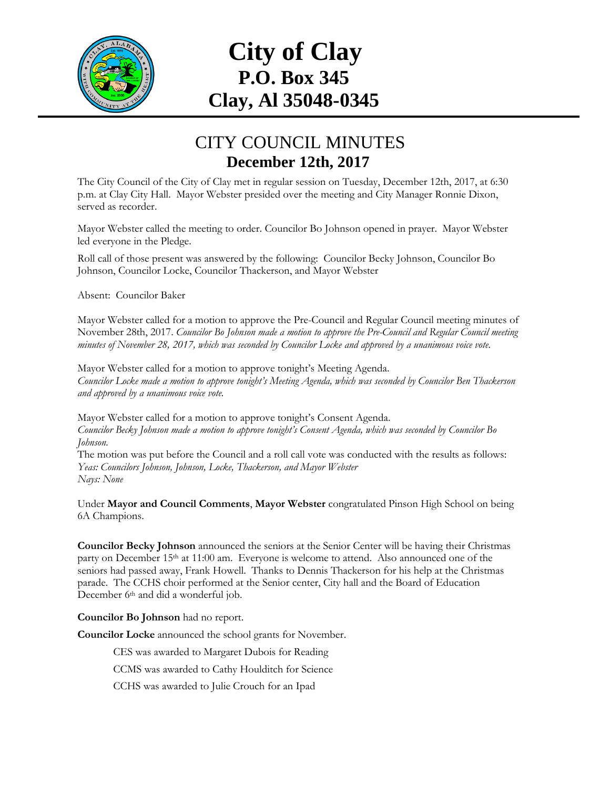

## **City of Clay P.O. Box 345 Clay, Al 35048-0345**

## CITY COUNCIL MINUTES **December 12th, 2017**

The City Council of the City of Clay met in regular session on Tuesday, December 12th, 2017, at 6:30 p.m. at Clay City Hall. Mayor Webster presided over the meeting and City Manager Ronnie Dixon, served as recorder.

Mayor Webster called the meeting to order. Councilor Bo Johnson opened in prayer. Mayor Webster led everyone in the Pledge.

Roll call of those present was answered by the following: Councilor Becky Johnson, Councilor Bo Johnson, Councilor Locke, Councilor Thackerson, and Mayor Webster

Absent: Councilor Baker

Mayor Webster called for a motion to approve the Pre-Council and Regular Council meeting minutes of November 28th, 2017. *Councilor Bo Johnson made a motion to approve the Pre-Council and Regular Council meeting minutes of November 28, 2017, which was seconded by Councilor Locke and approved by a unanimous voice vote.*

Mayor Webster called for a motion to approve tonight's Meeting Agenda. *Councilor Locke made a motion to approve tonight's Meeting Agenda, which was seconded by Councilor Ben Thackerson and approved by a unanimous voice vote.*

Mayor Webster called for a motion to approve tonight's Consent Agenda. *Councilor Becky Johnson made a motion to approve tonight's Consent Agenda, which was seconded by Councilor Bo Johnson.* 

The motion was put before the Council and a roll call vote was conducted with the results as follows: *Yeas: Councilors Johnson, Johnson, Locke, Thackerson, and Mayor Webster Nays: None*

Under **Mayor and Council Comments**, **Mayor Webster** congratulated Pinson High School on being 6A Champions.

**Councilor Becky Johnson** announced the seniors at the Senior Center will be having their Christmas party on December 15<sup>th</sup> at 11:00 am. Everyone is welcome to attend. Also announced one of the seniors had passed away, Frank Howell. Thanks to Dennis Thackerson for his help at the Christmas parade. The CCHS choir performed at the Senior center, City hall and the Board of Education December 6<sup>th</sup> and did a wonderful job.

**Councilor Bo Johnson** had no report.

**Councilor Locke** announced the school grants for November.

CES was awarded to Margaret Dubois for Reading

CCMS was awarded to Cathy Houlditch for Science

CCHS was awarded to Julie Crouch for an Ipad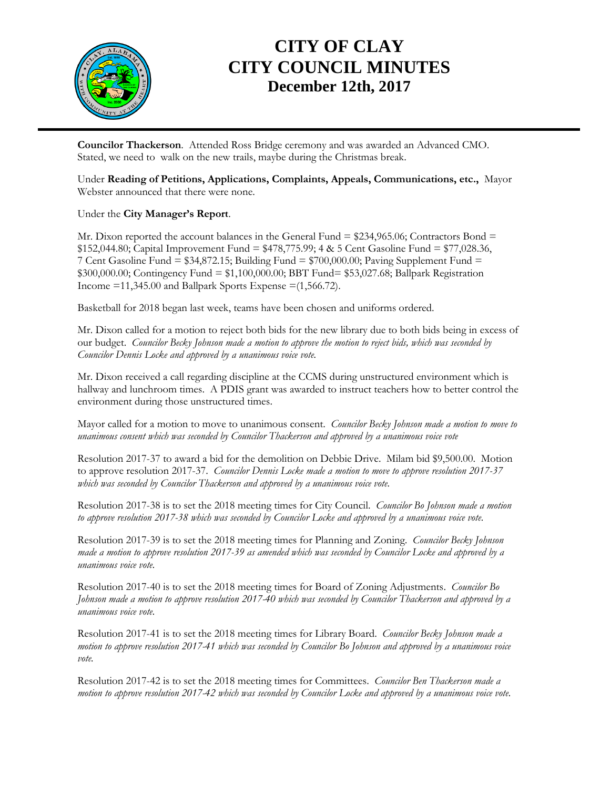

## **CITY OF CLAY CITY COUNCIL MINUTES December 12th, 2017**

**Councilor Thackerson**. Attended Ross Bridge ceremony and was awarded an Advanced CMO. Stated, we need to walk on the new trails, maybe during the Christmas break.

Under **Reading of Petitions, Applications, Complaints, Appeals, Communications, etc.,** Mayor Webster announced that there were none.

Under the **City Manager's Report**.

Mr. Dixon reported the account balances in the General Fund  $= $234,965.06$ ; Contractors Bond  $=$ \$152,044.80; Capital Improvement Fund = \$478,775.99; 4 & 5 Cent Gasoline Fund = \$77,028.36, 7 Cent Gasoline Fund =  $$34,872.15$ ; Building Fund =  $$700,000.00$ ; Paving Supplement Fund = \$300,000.00; Contingency Fund = \$1,100,000.00; BBT Fund= \$53,027.68; Ballpark Registration Income  $=11,345.00$  and Ballpark Sports Expense  $=(1,566.72)$ .

Basketball for 2018 began last week, teams have been chosen and uniforms ordered.

Mr. Dixon called for a motion to reject both bids for the new library due to both bids being in excess of our budget. *Councilor Becky Johnson made a motion to approve the motion to reject bids, which was seconded by Councilor Dennis Locke and approved by a unanimous voice vote.*

Mr. Dixon received a call regarding discipline at the CCMS during unstructured environment which is hallway and lunchroom times. A PDIS grant was awarded to instruct teachers how to better control the environment during those unstructured times.

Mayor called for a motion to move to unanimous consent. *Councilor Becky Johnson made a motion to move to unanimous consent which was seconded by Councilor Thackerson and approved by a unanimous voice vote*

Resolution 2017-37 to award a bid for the demolition on Debbie Drive. Milam bid \$9,500.00. Motion to approve resolution 2017-37. *Councilor Dennis Locke made a motion to move to approve resolution 2017-37 which was seconded by Councilor Thackerson and approved by a unanimous voice vote.*

Resolution 2017-38 is to set the 2018 meeting times for City Council. *Councilor Bo Johnson made a motion to approve resolution 2017-38 which was seconded by Councilor Locke and approved by a unanimous voice vote.*

Resolution 2017-39 is to set the 2018 meeting times for Planning and Zoning. *Councilor Becky Johnson made a motion to approve resolution 2017-39 as amended which was seconded by Councilor Locke and approved by a unanimous voice vote.*

Resolution 2017-40 is to set the 2018 meeting times for Board of Zoning Adjustments. *Councilor Bo Johnson made a motion to approve resolution 2017-40 which was seconded by Councilor Thackerson and approved by a unanimous voice vote.*

Resolution 2017-41 is to set the 2018 meeting times for Library Board. *Councilor Becky Johnson made a motion to approve resolution 2017-41 which was seconded by Councilor Bo Johnson and approved by a unanimous voice vote.*

Resolution 2017-42 is to set the 2018 meeting times for Committees. *Councilor Ben Thackerson made a motion to approve resolution 2017-42 which was seconded by Councilor Locke and approved by a unanimous voice vote.*